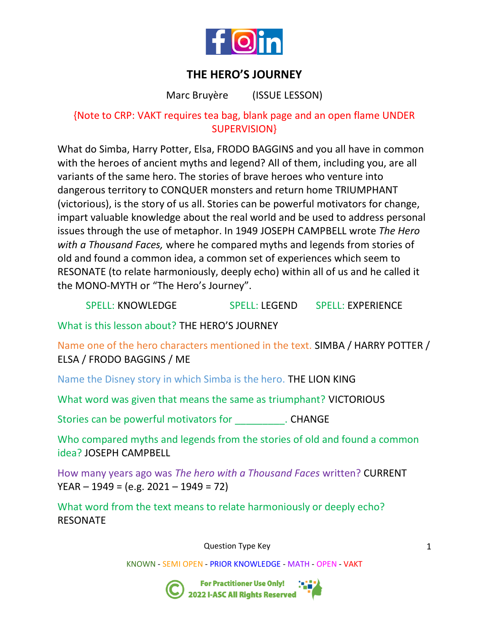

# **THE HERO'S JOURNEY**

Marc Bruyère (ISSUE LESSON)

## {Note to CRP: VAKT requires tea bag, blank page and an open flame UNDER SUPERVISION}

What do Simba, Harry Potter, Elsa, FRODO BAGGINS and you all have in common with the heroes of ancient myths and legend? All of them, including you, are all variants of the same hero. The stories of brave heroes who venture into dangerous territory to CONQUER monsters and return home TRIUMPHANT (victorious), is the story of us all. Stories can be powerful motivators for change, impart valuable knowledge about the real world and be used to address personal issues through the use of metaphor. In 1949 JOSEPH CAMPBELL wrote *The Hero with a Thousand Faces,* where he compared myths and legends from stories of old and found a common idea, a common set of experiences which seem to RESONATE (to relate harmoniously, deeply echo) within all of us and he called it the MONO-MYTH or "The Hero's Journey".

SPELL: KNOWLEDGE SPELL: LEGEND SPELL: EXPERIENCE

What is this lesson about? THE HERO'S JOURNEY

Name one of the hero characters mentioned in the text. SIMBA / HARRY POTTER / ELSA / FRODO BAGGINS / ME

Name the Disney story in which Simba is the hero. THE LION KING

What word was given that means the same as triumphant? VICTORIOUS

Stories can be powerful motivators for \_\_\_\_\_\_\_\_\_\_\_\_. CHANGE

Who compared myths and legends from the stories of old and found a common idea? JOSEPH CAMPBELL

How many years ago was *The hero with a Thousand Faces* written? CURRENT  $YEAR - 1949 = (e.g. 2021 - 1949 = 72)$ 

What word from the text means to relate harmoniously or deeply echo? RESONATE

Question Type Key

KNOWN - SEMI OPEN - PRIOR KNOWLEDGE - MATH - OPEN - VAKT



For Practitioner Use Only!<br>2022 I-ASC All Rights Reserved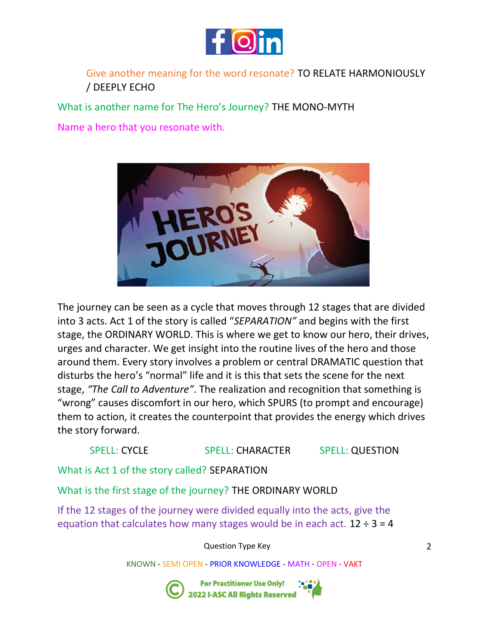

### Give another meaning for the word resonate? TO RELATE HARMONIOUSLY / DEEPLY ECHO

What is another name for The Hero's Journey? THE MONO-MYTH

Name a hero that you resonate with.



The journey can be seen as a cycle that moves through 12 stages that are divided into 3 acts. Act 1 of the story is called "*SEPARATION"* and begins with the first stage, the ORDINARY WORLD. This is where we get to know our hero, their drives, urges and character. We get insight into the routine lives of the hero and those around them. Every story involves a problem or central DRAMATIC question that disturbs the hero's "normal" life and it is this that sets the scene for the next stage, *"The Call to Adventure"*. The realization and recognition that something is "wrong" causes discomfort in our hero, which SPURS (to prompt and encourage) them to action, it creates the counterpoint that provides the energy which drives the story forward.

#### SPELL: CYCLE SPELL: CHARACTER SPELL: QUESTION

What is Act 1 of the story called? SEPARATION

What is the first stage of the journey? THE ORDINARY WORLD

If the 12 stages of the journey were divided equally into the acts, give the equation that calculates how many stages would be in each act.  $12 \div 3 = 4$ 

Question Type Key

KNOWN - SEMI OPEN - PRIOR KNOWLEDGE - MATH - OPEN - VAKT



**For Practitioner Use Only!** 2022 I-ASC All Rights Reserved

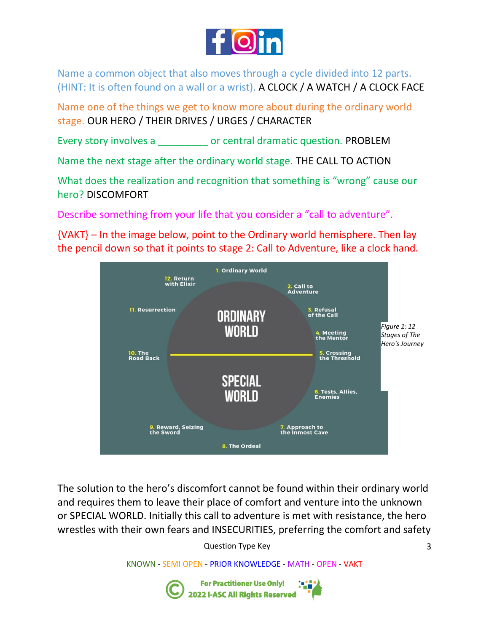

Name a common object that also moves through a cycle divided into 12 parts. (HINT: It is often found on a wall or a wrist). A CLOCK / A WATCH / A CLOCK FACE

Name one of the things we get to know more about during the ordinary world stage. OUR HERO / THEIR DRIVES / URGES / CHARACTER

Every story involves a \_\_\_\_\_\_\_\_\_ or central dramatic question. PROBLEM

Name the next stage after the ordinary world stage. THE CALL TO ACTION

What does the realization and recognition that something is "wrong" cause our hero? DISCOMFORT

Describe something from your life that you consider a "call to adventure".

{VAKT} – In the image below, point to the Ordinary world hemisphere. Then lay the pencil down so that it points to stage 2: Call to Adventure, like a clock hand.



The solution to the hero's discomfort cannot be found within their ordinary world and requires them to leave their place of comfort and venture into the unknown or SPECIAL WORLD. Initially this call to adventure is met with resistance, the hero wrestles with their own fears and INSECURITIES, preferring the comfort and safety

Question Type Key

KNOWN - SEMI OPEN - PRIOR KNOWLEDGE - MATH - OPEN - VAKT

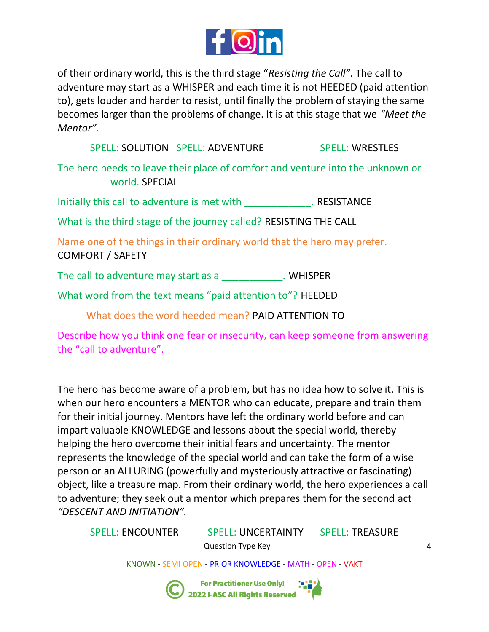

of their ordinary world, this is the third stage "*Resisting the Call"*. The call to adventure may start as a WHISPER and each time it is not HEEDED (paid attention to), gets louder and harder to resist, until finally the problem of staying the same becomes larger than the problems of change. It is at this stage that we *"Meet the Mentor".*

SPELL: SOLUTION SPELL: ADVENTURE SPELL: WRESTLES

The hero needs to leave their place of comfort and venture into the unknown or world. SPECIAL

Initially this call to adventure is met with \_\_\_\_\_\_\_\_\_\_\_\_\_\_\_\_\_. RESISTANCE

What is the third stage of the journey called? RESISTING THE CALL

Name one of the things in their ordinary world that the hero may prefer. COMFORT / SAFETY

The call to adventure may start as a \_\_\_\_\_\_\_\_\_\_\_\_\_. WHISPER

What word from the text means "paid attention to"? HEEDED

What does the word heeded mean? PAID ATTENTION TO

Describe how you think one fear or insecurity, can keep someone from answering the "call to adventure".

The hero has become aware of a problem, but has no idea how to solve it. This is when our hero encounters a MENTOR who can educate, prepare and train them for their initial journey. Mentors have left the ordinary world before and can impart valuable KNOWLEDGE and lessons about the special world, thereby helping the hero overcome their initial fears and uncertainty. The mentor represents the knowledge of the special world and can take the form of a wise person or an ALLURING (powerfully and mysteriously attractive or fascinating) object, like a treasure map. From their ordinary world, the hero experiences a call to adventure; they seek out a mentor which prepares them for the second act *"DESCENT AND INITIATION".* 

Question Type Key SPELL: ENCOUNTER SPELL: UNCERTAINTY SPELL: TREASURE

KNOWN - SEMI OPEN - PRIOR KNOWLEDGE - MATH - OPEN - VAKT

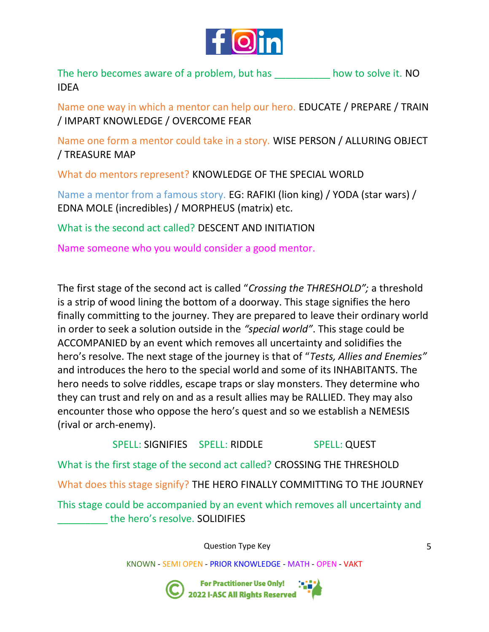

The hero becomes aware of a problem, but has \_\_\_\_\_\_\_\_\_\_\_ how to solve it. NO IDEA

Name one way in which a mentor can help our hero. EDUCATE / PREPARE / TRAIN / IMPART KNOWLEDGE / OVERCOME FEAR

Name one form a mentor could take in a story. WISE PERSON / ALLURING OBJECT / TREASURE MAP

What do mentors represent? KNOWLEDGE OF THE SPECIAL WORLD

Name a mentor from a famous story. EG: RAFIKI (lion king) / YODA (star wars) / EDNA MOLE (incredibles) / MORPHEUS (matrix) etc.

What is the second act called? DESCENT AND INITIATION

Name someone who you would consider a good mentor.

The first stage of the second act is called "*Crossing the THRESHOLD";* a threshold is a strip of wood lining the bottom of a doorway. This stage signifies the hero finally committing to the journey. They are prepared to leave their ordinary world in order to seek a solution outside in the *"special world"*. This stage could be ACCOMPANIED by an event which removes all uncertainty and solidifies the hero's resolve. The next stage of the journey is that of "*Tests, Allies and Enemies"*  and introduces the hero to the special world and some of its INHABITANTS. The hero needs to solve riddles, escape traps or slay monsters. They determine who they can trust and rely on and as a result allies may be RALLIED. They may also encounter those who oppose the hero's quest and so we establish a NEMESIS (rival or arch-enemy).

SPELL: SIGNIFIES SPELL: RIDDLE SPELL: QUEST What is the first stage of the second act called? CROSSING THE THRESHOLD What does this stage signify? THE HERO FINALLY COMMITTING TO THE JOURNEY This stage could be accompanied by an event which removes all uncertainty and the hero's resolve. SOLIDIFIES

Question Type Key

KNOWN - SEMI OPEN - PRIOR KNOWLEDGE - MATH - OPEN - VAKT



For Practitioner Use Only!<br>2022 I-ASC All Rights Reserved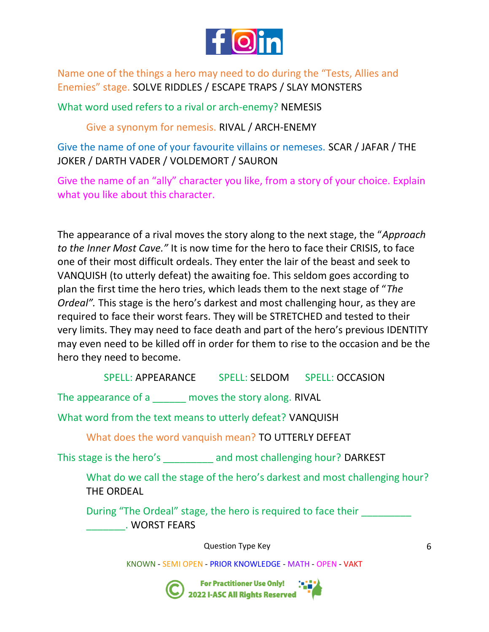

Name one of the things a hero may need to do during the "Tests, Allies and Enemies" stage. SOLVE RIDDLES / ESCAPE TRAPS / SLAY MONSTERS

What word used refers to a rival or arch-enemy? NEMESIS

Give a synonym for nemesis. RIVAL / ARCH-ENEMY

Give the name of one of your favourite villains or nemeses. SCAR / JAFAR / THE JOKER / DARTH VADER / VOLDEMORT / SAURON

Give the name of an "ally" character you like, from a story of your choice. Explain what you like about this character.

The appearance of a rival moves the story along to the next stage, the "*Approach to the Inner Most Cave."* It is now time for the hero to face their CRISIS, to face one of their most difficult ordeals. They enter the lair of the beast and seek to VANQUISH (to utterly defeat) the awaiting foe. This seldom goes according to plan the first time the hero tries, which leads them to the next stage of "*The Ordeal".* This stage is the hero's darkest and most challenging hour, as they are required to face their worst fears. They will be STRETCHED and tested to their very limits. They may need to face death and part of the hero's previous IDENTITY may even need to be killed off in order for them to rise to the occasion and be the hero they need to become.

SPELL: APPEARANCE SPELL: SELDOM SPELL: OCCASION

The appearance of a \_\_\_\_\_\_ moves the story along. RIVAL

What word from the text means to utterly defeat? VANQUISH

What does the word vanquish mean? TO UTTERLY DEFEAT

This stage is the hero's and most challenging hour? DARKEST

What do we call the stage of the hero's darkest and most challenging hour? THE ORDEAL

During "The Ordeal" stage, the hero is required to face their \_\_\_\_\_\_\_. WORST FEARS

Question Type Key

KNOWN - SEMI OPEN - PRIOR KNOWLEDGE - MATH - OPEN - VAKT



:<br>:<br>2022 I-ASC All Rights Reserved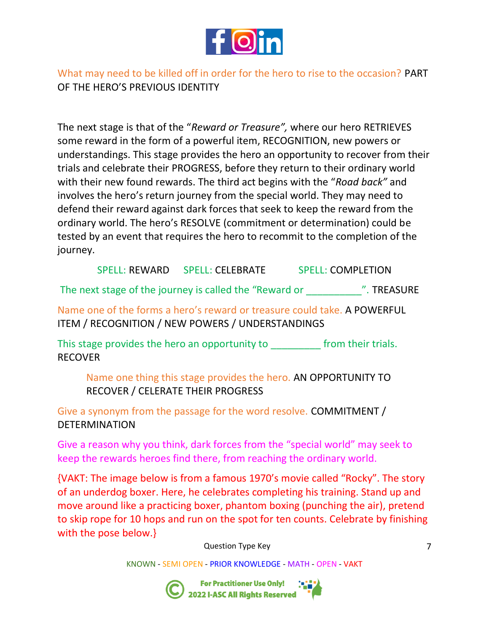

What may need to be killed off in order for the hero to rise to the occasion? PART OF THE HERO'S PREVIOUS IDENTITY

The next stage is that of the "*Reward or Treasure",* where our hero RETRIEVES some reward in the form of a powerful item, RECOGNITION, new powers or understandings. This stage provides the hero an opportunity to recover from their trials and celebrate their PROGRESS, before they return to their ordinary world with their new found rewards. The third act begins with the "*Road back"* and involves the hero's return journey from the special world. They may need to defend their reward against dark forces that seek to keep the reward from the ordinary world. The hero's RESOLVE (commitment or determination) could be tested by an event that requires the hero to recommit to the completion of the journey.

SPELL: REWARD SPELL: CELEBRATE SPELL: COMPLETION

The next stage of the journey is called the "Reward or  $\blacksquare$ ". TREASURE

Name one of the forms a hero's reward or treasure could take. A POWERFUL ITEM / RECOGNITION / NEW POWERS / UNDERSTANDINGS

This stage provides the hero an opportunity to from their trials. RECOVER

Name one thing this stage provides the hero. AN OPPORTUNITY TO RECOVER / CELERATE THEIR PROGRESS

Give a synonym from the passage for the word resolve. COMMITMENT / DETERMINATION

Give a reason why you think, dark forces from the "special world" may seek to keep the rewards heroes find there, from reaching the ordinary world.

{VAKT: The image below is from a famous 1970's movie called "Rocky". The story of an underdog boxer. Here, he celebrates completing his training. Stand up and move around like a practicing boxer, phantom boxing (punching the air), pretend to skip rope for 10 hops and run on the spot for ten counts. Celebrate by finishing with the pose below.}

Question Type Key

KNOWN - SEMI OPEN - PRIOR KNOWLEDGE - MATH - OPEN - VAKT



:<br>:<br>2022 I-ASC All Rights Reserved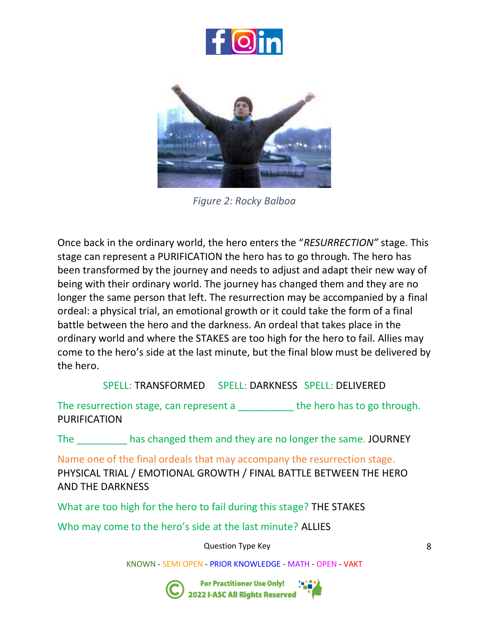



*Figure 2: Rocky Balboa*

Once back in the ordinary world, the hero enters the "*RESURRECTION"* stage. This stage can represent a PURIFICATION the hero has to go through. The hero has been transformed by the journey and needs to adjust and adapt their new way of being with their ordinary world. The journey has changed them and they are no longer the same person that left. The resurrection may be accompanied by a final ordeal: a physical trial, an emotional growth or it could take the form of a final battle between the hero and the darkness. An ordeal that takes place in the ordinary world and where the STAKES are too high for the hero to fail. Allies may come to the hero's side at the last minute, but the final blow must be delivered by the hero.

SPELL: TRANSFORMED SPELL: DARKNESS SPELL: DELIVERED

The resurrection stage, can represent a \_\_\_\_\_\_\_\_\_\_\_ the hero has to go through. PURIFICATION

The has changed them and they are no longer the same. JOURNEY

Name one of the final ordeals that may accompany the resurrection stage. PHYSICAL TRIAL / EMOTIONAL GROWTH / FINAL BATTLE BETWEEN THE HERO AND THE DARKNESS

What are too high for the hero to fail during this stage? THE STAKES

Who may come to the hero's side at the last minute? ALLIES

Question Type Key

KNOWN - SEMI OPEN - PRIOR KNOWLEDGE - MATH - OPEN - VAKT



For Practitioner Use Only!<br>2022 I-ASC All Rights Reserved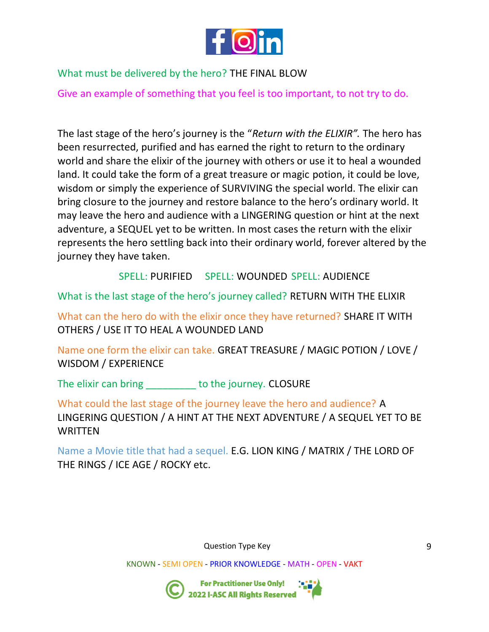

### What must be delivered by the hero? THE FINAL BLOW

Give an example of something that you feel is too important, to not try to do.

The last stage of the hero's journey is the "*Return with the ELIXIR".* The hero has been resurrected, purified and has earned the right to return to the ordinary world and share the elixir of the journey with others or use it to heal a wounded land. It could take the form of a great treasure or magic potion, it could be love, wisdom or simply the experience of SURVIVING the special world. The elixir can bring closure to the journey and restore balance to the hero's ordinary world. It may leave the hero and audience with a LINGERING question or hint at the next adventure, a SEQUEL yet to be written. In most cases the return with the elixir represents the hero settling back into their ordinary world, forever altered by the journey they have taken.

SPELL: PURIFIED SPELL: WOUNDED SPELL: AUDIENCE

What is the last stage of the hero's journey called? RETURN WITH THE ELIXIR

What can the hero do with the elixir once they have returned? SHARE IT WITH OTHERS / USE IT TO HEAL A WOUNDED LAND

Name one form the elixir can take. GREAT TREASURE / MAGIC POTION / LOVE / WISDOM / EXPERIENCE

The elixir can bring to the journey. CLOSURE

What could the last stage of the journey leave the hero and audience? A LINGERING QUESTION / A HINT AT THE NEXT ADVENTURE / A SEQUEL YET TO BE **WRITTEN** 

Name a Movie title that had a sequel. E.G. LION KING / MATRIX / THE LORD OF THE RINGS / ICE AGE / ROCKY etc.

Question Type Key

KNOWN - SEMI OPEN - PRIOR KNOWLEDGE - MATH - OPEN - VAKT

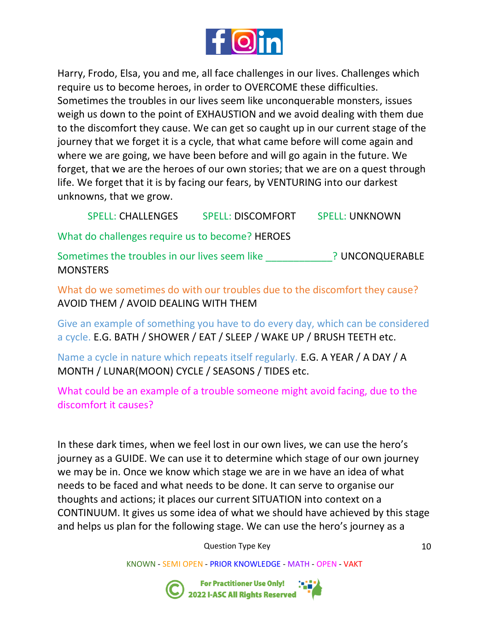

Harry, Frodo, Elsa, you and me, all face challenges in our lives. Challenges which require us to become heroes, in order to OVERCOME these difficulties. Sometimes the troubles in our lives seem like unconquerable monsters, issues weigh us down to the point of EXHAUSTION and we avoid dealing with them due to the discomfort they cause. We can get so caught up in our current stage of the journey that we forget it is a cycle, that what came before will come again and where we are going, we have been before and will go again in the future. We forget, that we are the heroes of our own stories; that we are on a quest through life. We forget that it is by facing our fears, by VENTURING into our darkest unknowns, that we grow.

SPELL: CHALLENGES SPELL: DISCOMFORT SPELL: UNKNOWN

What do challenges require us to become? HEROES

Sometimes the troubles in our lives seem like **Fig. 2018** ? UNCONQUERABLE **MONSTERS** 

What do we sometimes do with our troubles due to the discomfort they cause? AVOID THEM / AVOID DEALING WITH THEM

Give an example of something you have to do every day, which can be considered a cycle. E.G. BATH / SHOWER / EAT / SLEEP / WAKE UP / BRUSH TEETH etc.

Name a cycle in nature which repeats itself regularly. E.G. A YEAR / A DAY / A MONTH / LUNAR(MOON) CYCLE / SEASONS / TIDES etc.

What could be an example of a trouble someone might avoid facing, due to the discomfort it causes?

In these dark times, when we feel lost in our own lives, we can use the hero's journey as a GUIDE. We can use it to determine which stage of our own journey we may be in. Once we know which stage we are in we have an idea of what needs to be faced and what needs to be done. It can serve to organise our thoughts and actions; it places our current SITUATION into context on a CONTINUUM. It gives us some idea of what we should have achieved by this stage and helps us plan for the following stage. We can use the hero's journey as a

Question Type Key

KNOWN - SEMI OPEN - PRIOR KNOWLEDGE - MATH - OPEN - VAKT



;<br>;<br>2022 I-ASC All Rights Reserved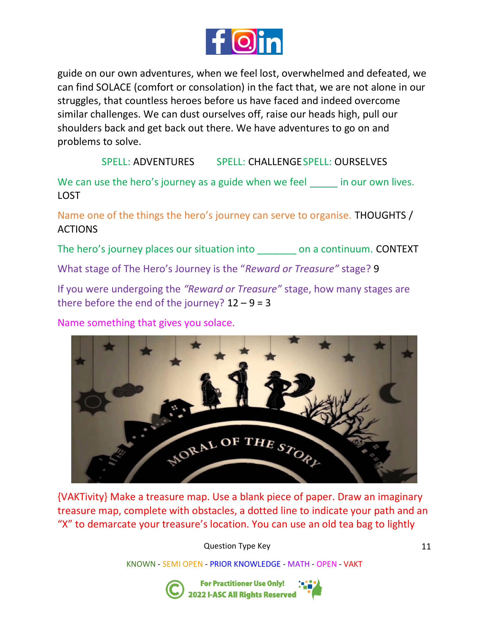

guide on our own adventures, when we feel lost, overwhelmed and defeated, we can find SOLACE (comfort or consolation) in the fact that, we are not alone in our struggles, that countless heroes before us have faced and indeed overcome similar challenges. We can dust ourselves off, raise our heads high, pull our shoulders back and get back out there. We have adventures to go on and problems to solve.

SPELL: ADVENTURES SPELL: CHALLENGESPELL: OURSELVES

We can use the hero's journey as a guide when we feel in our own lives. LOST

Name one of the things the hero's journey can serve to organise. THOUGHTS / ACTIONS

The hero's journey places our situation into on a continuum. CONTEXT

What stage of The Hero's Journey is the "*Reward or Treasure"* stage? 9

If you were undergoing the *"Reward or Treasure"* stage, how many stages are there before the end of the journey?  $12 - 9 = 3$ 

Name something that gives you solace.



{VAKTivity} Make a treasure map. Use a blank piece of paper. Draw an imaginary treasure map, complete with obstacles, a dotted line to indicate your path and an "X" to demarcate your treasure's location. You can use an old tea bag to lightly

Question Type Key

KNOWN - SEMI OPEN - PRIOR KNOWLEDGE - MATH - OPEN - VAKT



**For Practitioner Use Only!** 2022 I-ASC All Rights Reserved